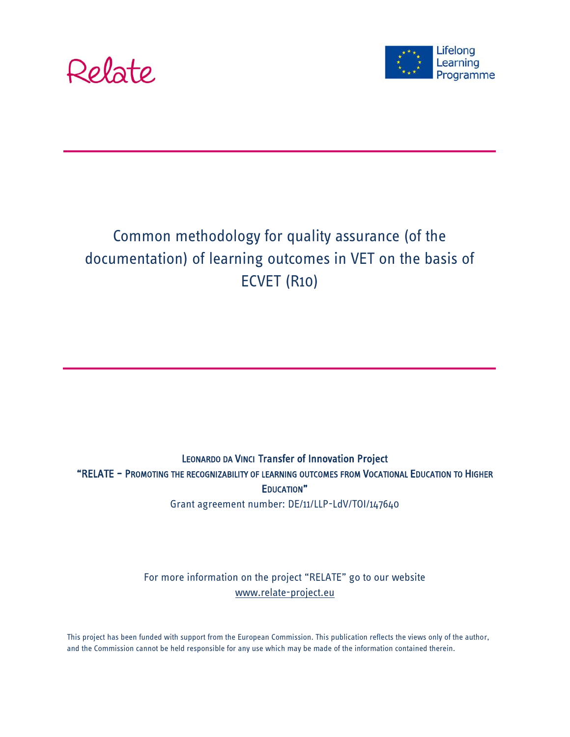



# Common methodology for quality assurance (of the documentation) of learning outcomes in VET on the basis of ECVET (R10)

# LEONARDO DA VINCI Transfer of Innovation Project "RELATE – PROMOTING THE RECOGNIZABILITY OF LEARNING OUTCOMES FROM VOCATIONAL EDUCATION TO HIGHER EDUCATION" Grant agreement number: DE/11/LLP-LdV/TOI/147640

For more information on the project "RELATE" go to our website [www.relate-project.eu](http://www.relate-project.eu/)

This project has been funded with support from the European Commission. This publication reflects the views only of the author, and the Commission cannot be held responsible for any use which may be made of the information contained therein.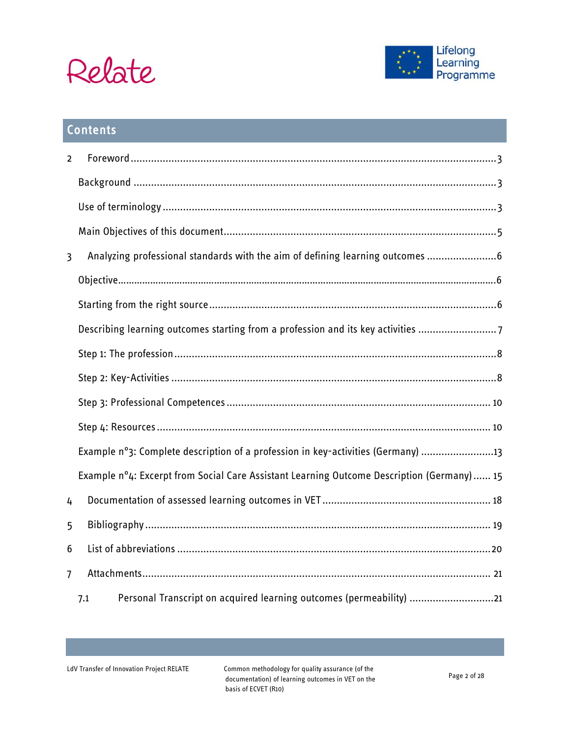



# Contents

| $\overline{2}$ |                                                                                            |
|----------------|--------------------------------------------------------------------------------------------|
|                |                                                                                            |
|                |                                                                                            |
|                |                                                                                            |
| $\overline{3}$ | Analyzing professional standards with the aim of defining learning outcomes  6             |
|                |                                                                                            |
|                |                                                                                            |
|                | Describing learning outcomes starting from a profession and its key activities             |
|                |                                                                                            |
|                |                                                                                            |
|                |                                                                                            |
|                |                                                                                            |
|                | Example n°3: Complete description of a profession in key-activities (Germany) 13           |
|                | Example n°4: Excerpt from Social Care Assistant Learning Outcome Description (Germany)  15 |
| 4              |                                                                                            |
| 5              |                                                                                            |
| 6              |                                                                                            |
| 7              |                                                                                            |
|                | Personal Transcript on acquired learning outcomes (permeability) 21<br>7.1                 |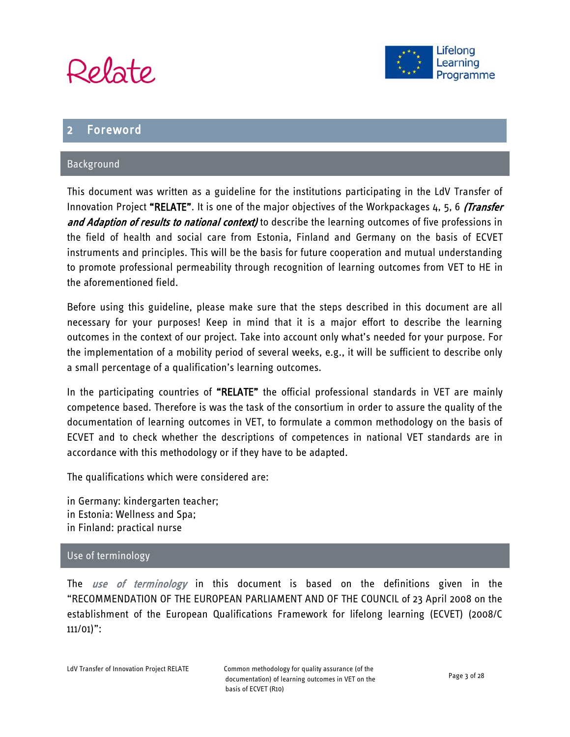



# <span id="page-2-0"></span>**Foreword**

### <span id="page-2-1"></span>Background

This document was written as a guideline for the institutions participating in the LdV Transfer of Innovation Project "RELATE". It is one of the major objectives of the Workpackages 4, 5, 6 *(Transfer*) and Adaption of results to national context) to describe the learning outcomes of five professions in the field of health and social care from Estonia, Finland and Germany on the basis of ECVET instruments and principles. This will be the basis for future cooperation and mutual understanding to promote professional permeability through recognition of learning outcomes from VET to HE in the aforementioned field.

Before using this guideline, please make sure that the steps described in this document are all necessary for your purposes! Keep in mind that it is a major effort to describe the learning outcomes in the context of our project. Take into account only what's needed for your purpose. For the implementation of a mobility period of several weeks, e.g., it will be sufficient to describe only a small percentage of a qualification's learning outcomes.

In the participating countries of "RELATE" the official professional standards in VET are mainly competence based. Therefore is was the task of the consortium in order to assure the quality of the documentation of learning outcomes in VET, to formulate a common methodology on the basis of ECVET and to check whether the descriptions of competences in national VET standards are in accordance with this methodology or if they have to be adapted.

The qualifications which were considered are:

in Germany: kindergarten teacher; in Estonia: Wellness and Spa; in Finland: practical nurse

#### <span id="page-2-2"></span>Use of terminology

The use of terminology in this document is based on the definitions given in the "RECOMMENDATION OF THE EUROPEAN PARLIAMENT AND OF THE COUNCIL of 23 April 2008 on the establishment of the European Qualifications Framework for lifelong learning (ECVET) (2008/C 111/01)":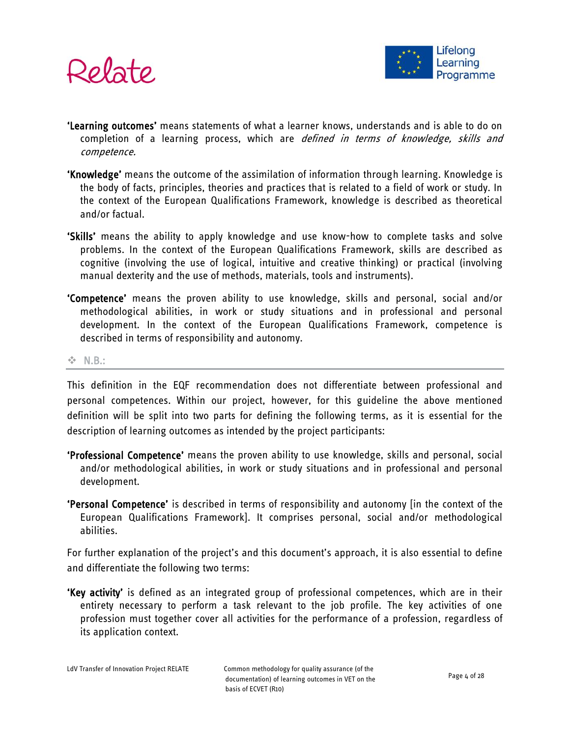



- 'Learning outcomes' means statements of what a learner knows, understands and is able to do on completion of a learning process, which are *defined in terms of knowledge, skills and* competence.
- 'Knowledge' means the outcome of the assimilation of information through learning. Knowledge is the body of facts, principles, theories and practices that is related to a field of work or study. In the context of the European Qualifications Framework, knowledge is described as theoretical and/or factual.
- 'Skills' means the ability to apply knowledge and use know-how to complete tasks and solve problems. In the context of the European Qualifications Framework, skills are described as cognitive (involving the use of logical, intuitive and creative thinking) or practical (involving manual dexterity and the use of methods, materials, tools and instruments).
- 'Competence' means the proven ability to use knowledge, skills and personal, social and/or methodological abilities, in work or study situations and in professional and personal development. In the context of the European Qualifications Framework, competence is described in terms of responsibility and autonomy.

#### **☆ N.B.:**

This definition in the EQF recommendation does not differentiate between professional and personal competences. Within our project, however, for this guideline the above mentioned definition will be split into two parts for defining the following terms, as it is essential for the description of learning outcomes as intended by the project participants:

- 'Professional Competence' means the proven ability to use knowledge, skills and personal, social and/or methodological abilities, in work or study situations and in professional and personal development.
- 'Personal Competence' is described in terms of responsibility and autonomy [in the context of the European Qualifications Framework]. It comprises personal, social and/or methodological abilities.

For further explanation of the project's and this document's approach, it is also essential to define and differentiate the following two terms:

'Key activity' is defined as an integrated group of professional competences, which are in their entirety necessary to perform a task relevant to the job profile. The key activities of one profession must together cover all activities for the performance of a profession, regardless of its application context.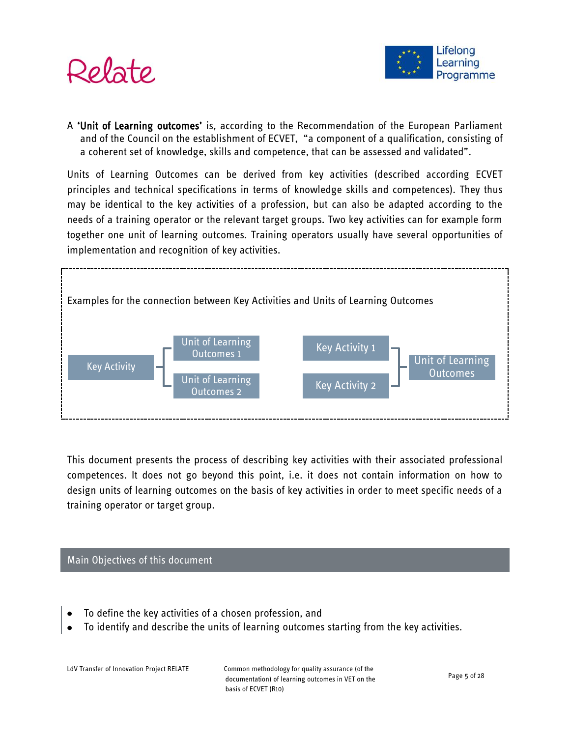



A 'Unit of Learning outcomes' is, according to the Recommendation of the European Parliament and of the Council on the establishment of ECVET, "a component of a qualification, consisting of a coherent set of knowledge, skills and competence, that can be assessed and validated".

Units of Learning Outcomes can be derived from key activities (described according ECVET principles and technical specifications in terms of knowledge skills and competences). They thus may be identical to the key activities of a profession, but can also be adapted according to the needs of a training operator or the relevant target groups. Two key activities can for example form together one unit of learning outcomes. Training operators usually have several opportunities of implementation and recognition of key activities.



This document presents the process of describing key activities with their associated professional competences. It does not go beyond this point, i.e. it does not contain information on how to design units of learning outcomes on the basis of key activities in order to meet specific needs of a training operator or target group.

#### <span id="page-4-0"></span>Main Objectives of this document

- To define the key activities of a chosen profession, and
- To identify and describe the units of learning outcomes starting from the key activities.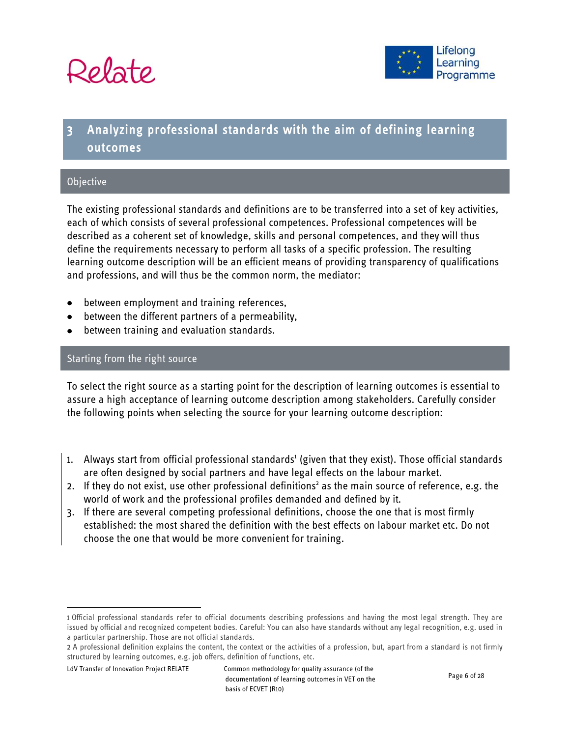



# <span id="page-5-0"></span>Analyzing professional standards with the aim of defining learning outcomes

#### <span id="page-5-1"></span>**Objective**

The existing professional standards and definitions are to be transferred into a set of key activities, each of which consists of several professional competences. Professional competences will be described as a coherent set of knowledge, skills and personal competences, and they will thus define the requirements necessary to perform all tasks of a specific profession. The resulting learning outcome description will be an efficient means of providing transparency of qualifications and professions, and will thus be the common norm, the mediator:

- between employment and training references,  $\bullet$
- between the different partners of a permeability,
- <span id="page-5-2"></span>between training and evaluation standards.

#### Starting from the right source

To select the right source as a starting point for the description of learning outcomes is essential to assure a high acceptance of learning outcome description among stakeholders. Carefully consider the following points when selecting the source for your learning outcome description:

- 1. Always start from official professional standards<sup>1</sup> (given that they exist). Those official standards are often designed by social partners and have legal effects on the labour market.
- 2. If they do not exist, use other professional definitions<sup>2</sup> as the main source of reference, e.g. the world of work and the professional profiles demanded and defined by it.
- 3. If there are several competing professional definitions, choose the one that is most firmly established: the most shared the definition with the best effects on labour market etc. Do not choose the one that would be more convenient for training.

 $\overline{\phantom{a}}$ 

<sup>1</sup> Official professional standards refer to official documents describing professions and having the most legal strength. They are issued by official and recognized competent bodies. Careful: You can also have standards without any legal recognition, e.g. used in a particular partnership. Those are not official standards.

<sup>2</sup> A professional definition explains the content, the context or the activities of a profession, but, apart from a standard is not firmly structured by learning outcomes, e.g. job offers, definition of functions, etc.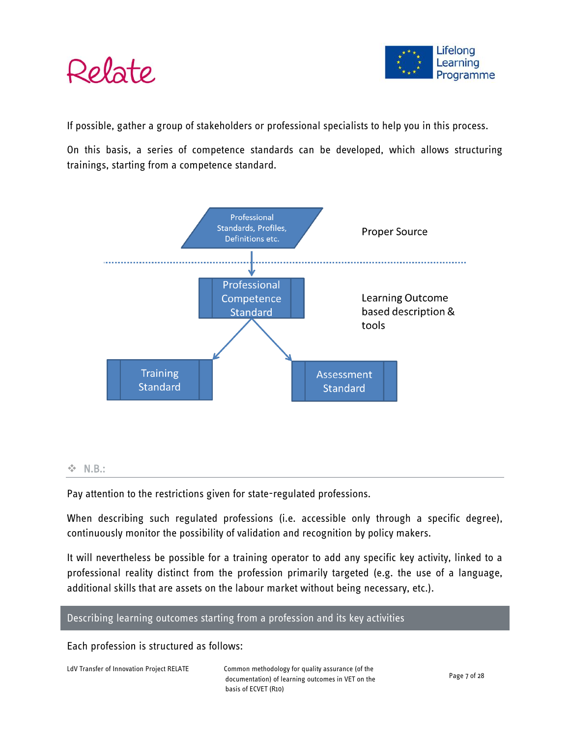



If possible, gather a group of stakeholders or professional specialists to help you in this process.

On this basis, a series of competence standards can be developed, which allows structuring trainings, starting from a competence standard.



#### $\div$  N.B.:

Pay attention to the restrictions given for state-regulated professions.

When describing such regulated professions (i.e. accessible only through a specific degree), continuously monitor the possibility of validation and recognition by policy makers.

It will nevertheless be possible for a training operator to add any specific key activity, linked to a professional reality distinct from the profession primarily targeted (e.g. the use of a language, additional skills that are assets on the labour market without being necessary, etc.).

#### <span id="page-6-0"></span>Describing learning outcomes starting from a profession and its key activities

Each profession is structured as follows: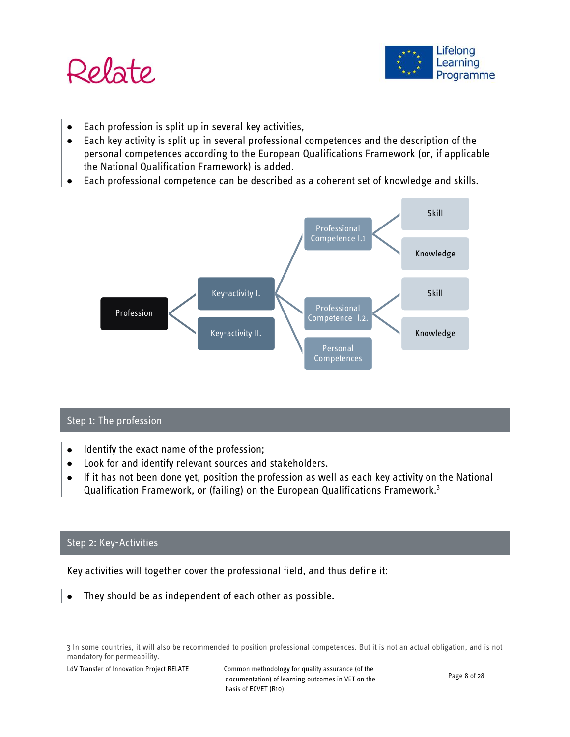



- Each profession is split up in several key activities,
- Each key activity is split up in several professional competences and the description of the  $\bullet$ personal competences according to the European Qualifications Framework (or, if applicable the National Qualification Framework) is added.
- Each professional competence can be described as a coherent set of knowledge and skills.



### <span id="page-7-0"></span>Step 1: The profession

- Identify the exact name of the profession;  $\bullet$
- Look for and identify relevant sources and stakeholders.  $\bullet$
- If it has not been done yet, position the profession as well as each key activity on the National  $\bullet$ Qualification Framework, or (failing) on the European Qualifications Framework.<sup>3</sup>

### <span id="page-7-1"></span>Step 2: Key-Activities

 $\overline{a}$ 

Key activities will together cover the professional field, and thus define it:

They should be as independent of each other as possible.

<sup>3</sup> In some countries, it will also be recommended to position professional competences. But it is not an actual obligation, and is not mandatory for permeability.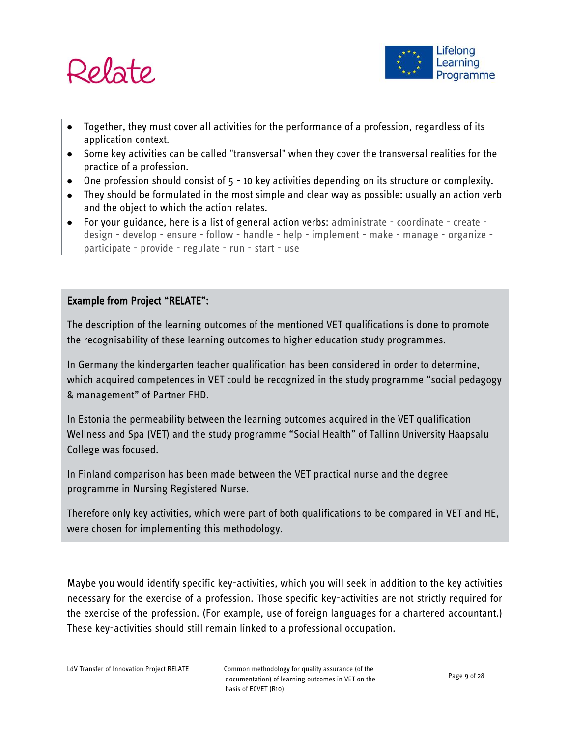



- Together, they must cover all activities for the performance of a profession, regardless of its application context.
- Some key activities can be called "transversal" when they cover the transversal realities for the practice of a profession.
- One profession should consist of 5 10 key activities depending on its structure or complexity.
- They should be formulated in the most simple and clear way as possible: usually an action verb and the object to which the action relates.
- For your guidance, here is a list of general action verbs: administrate coordinate create design - develop - ensure - follow - handle - help - implement - make - manage - organize participate - provide - regulate - run - start - use

### Example from Project "RELATE":

The description of the learning outcomes of the mentioned VET qualifications is done to promote the recognisability of these learning outcomes to higher education study programmes.

In Germany the kindergarten teacher qualification has been considered in order to determine, which acquired competences in VET could be recognized in the study programme "social pedagogy & management" of Partner FHD.

In Estonia the permeability between the learning outcomes acquired in the VET qualification Wellness and Spa (VET) and the study programme "Social Health" of Tallinn University Haapsalu College was focused.

In Finland comparison has been made between the VET practical nurse and the degree programme in Nursing Registered Nurse.

Therefore only key activities, which were part of both qualifications to be compared in VET and HE, were chosen for implementing this methodology.

Maybe you would identify specific key-activities, which you will seek in addition to the key activities necessary for the exercise of a profession. Those specific key-activities are not strictly required for the exercise of the profession. (For example, use of foreign languages for a chartered accountant.) These key-activities should still remain linked to a professional occupation.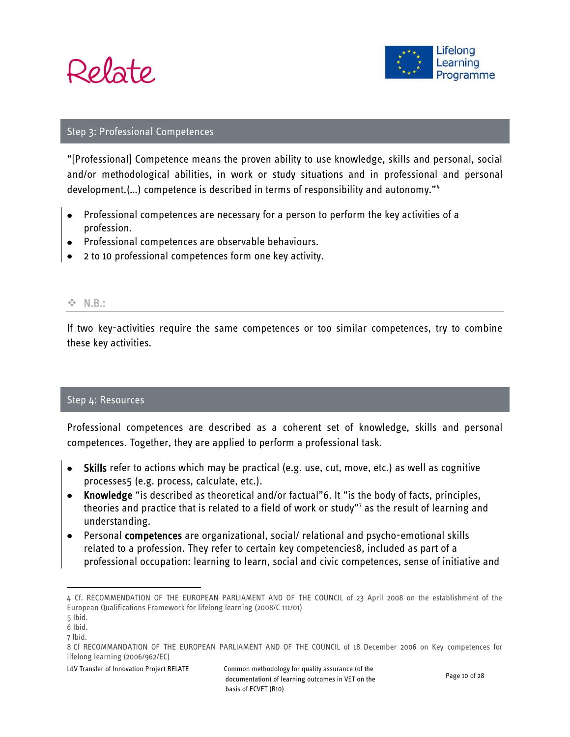



#### <span id="page-9-0"></span>Step 3: Professional Competences

"[Professional] Competence means the proven ability to use knowledge, skills and personal, social and/or methodological abilities, in work or study situations and in professional and personal development.(…) competence is described in terms of responsibility and autonomy."<sup>4</sup>

- Professional competences are necessary for a person to perform the key activities of a profession.
- Professional competences are observable behaviours.
- 2 to 10 professional competences form one key activity.

#### **☆ N.B.:**

If two key-activities require the same competences or too similar competences, try to combine these key activities.

#### <span id="page-9-1"></span>Step 4: Resources

Professional competences are described as a coherent set of knowledge, skills and personal competences. Together, they are applied to perform a professional task.

- Skills refer to actions which may be practical (e.g. use, cut, move, etc.) as well as cognitive processes5 (e.g. process, calculate, etc.).
- Knowledge "is described as theoretical and/or factual"6. It "is the body of facts, principles, theories and practice that is related to a field of work or study"<sup>7</sup> as the result of learning and understanding.
- Personal competences are organizational, social/ relational and psycho-emotional skills related to a profession. They refer to certain key competencies8, included as part of a professional occupation: learning to learn, social and civic competences, sense of initiative and

 $\overline{\phantom{a}}$ 

<sup>4</sup> Cf. RECOMMENDATION OF THE EUROPEAN PARLIAMENT AND OF THE COUNCIL of 23 April 2008 on the establishment of the European Qualifications Framework for lifelong learning (2008/C 111/01)

<sup>5</sup> Ibid.

<sup>6</sup> Ibid.

<sup>7</sup> lbid.

<sup>8</sup> Cf RECOMMANDATION OF THE EUROPEAN PARLIAMENT AND OF THE COUNCIL of 18 December 2006 on Key competences for lifelong learning (2006/962/EC)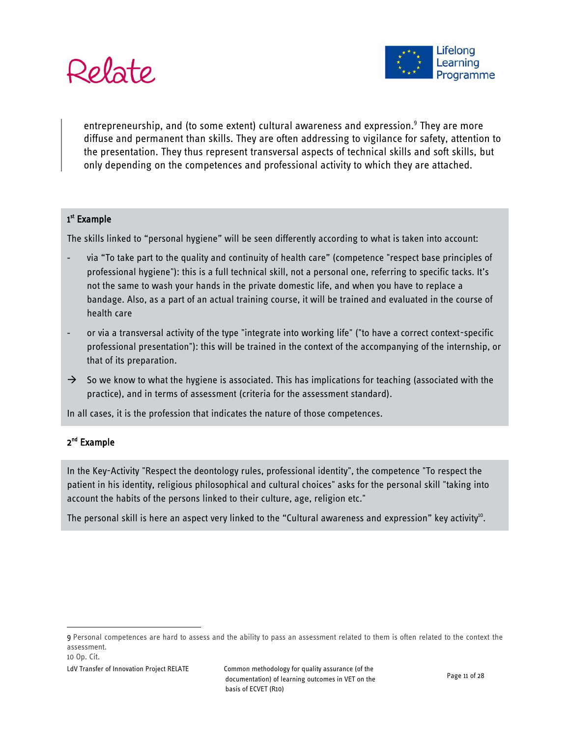



entrepreneurship, and (to some extent) cultural awareness and expression.<sup>9</sup> They are more diffuse and permanent than skills. They are often addressing to vigilance for safety, attention to the presentation. They thus represent transversal aspects of technical skills and soft skills, but only depending on the competences and professional activity to which they are attached.

#### 1<sup>st</sup> Example

The skills linked to "personal hygiene" will be seen differently according to what is taken into account:

- via "To take part to the quality and continuity of health care" (competence "respect base principles of professional hygiene"): this is a full technical skill, not a personal one, referring to specific tacks. It's not the same to wash your hands in the private domestic life, and when you have to replace a bandage. Also, as a part of an actual training course, it will be trained and evaluated in the course of health care
- or via a transversal activity of the type "integrate into working life" ("to have a correct context-specific professional presentation"): this will be trained in the context of the accompanying of the internship, or that of its preparation.
- $\rightarrow$  So we know to what the hygiene is associated. This has implications for teaching (associated with the practice), and in terms of assessment (criteria for the assessment standard).

In all cases, it is the profession that indicates the nature of those competences.

#### 2<sup>nd</sup> Example

In the Key-Activity "Respect the deontology rules, professional identity", the competence "To respect the patient in his identity, religious philosophical and cultural choices" asks for the personal skill "taking into account the habits of the persons linked to their culture, age, religion etc."

The personal skill is here an aspect very linked to the "Cultural awareness and expression" key activity $^{10}$ .

 $\overline{\phantom{a}}$ 

<sup>9</sup> Personal competences are hard to assess and the ability to pass an assessment related to them is often related to the context the assessment.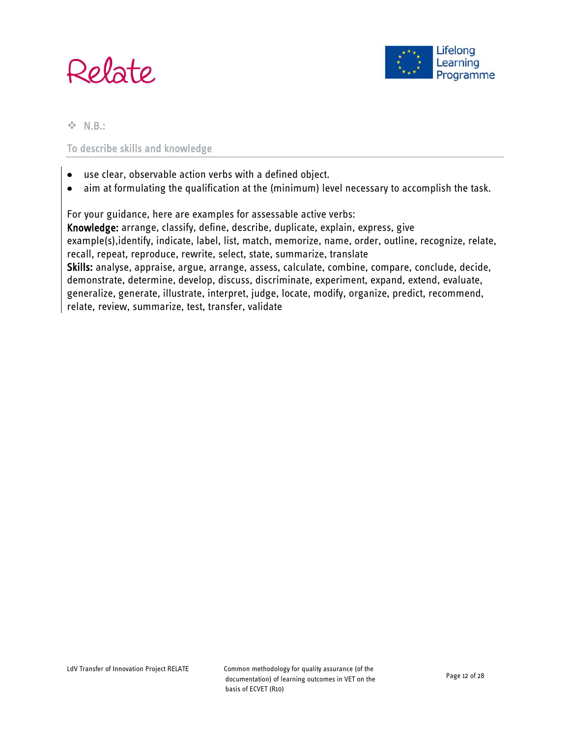



**☆ N.B.:** 

### To describe skills and knowledge

- use clear, observable action verbs with a defined object.  $\bullet$
- aim at formulating the qualification at the (minimum) level necessary to accomplish the task.  $\bullet$

For your guidance, here are examples for assessable active verbs: Knowledge: arrange, classify, define, describe, duplicate, explain, express, give example(s),identify, indicate, label, list, match, memorize, name, order, outline, recognize, relate, recall, repeat, reproduce, rewrite, select, state, summarize, translate Skills: analyse, appraise, argue, arrange, assess, calculate, combine, compare, conclude, decide, demonstrate, determine, develop, discuss, discriminate, experiment, expand, extend, evaluate, generalize, generate, illustrate, interpret, judge, locate, modify, organize, predict, recommend, relate, review, summarize, test, transfer, validate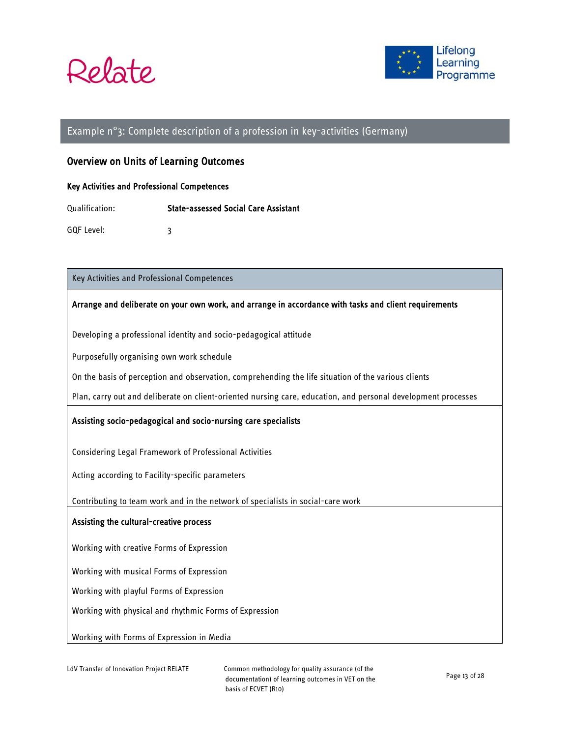



#### <span id="page-12-0"></span>Example n°3: Complete description of a profession in key-activities (Germany)

#### Overview on Units of Learning Outcomes

#### Key Activities and Professional Competences

Qualification: State-assessed Social Care Assistant

GQF Level: 3

Key Activities and Professional Competences

#### Arrange and deliberate on your own work, and arrange in accordance with tasks and client requirements

Developing a professional identity and socio-pedagogical attitude

Purposefully organising own work schedule

On the basis of perception and observation, comprehending the life situation of the various clients

Plan, carry out and deliberate on client-oriented nursing care, education, and personal development processes

#### Assisting socio-pedagogical and socio-nursing care specialists

Considering Legal Framework of Professional Activities

Acting according to Facility-specific parameters

Contributing to team work and in the network of specialists in social-care work

#### Assisting the cultural-creative process

Working with creative Forms of Expression

Working with musical Forms of Expression

Working with playful Forms of Expression

Working with physical and rhythmic Forms of Expression

Working with Forms of Expression in Media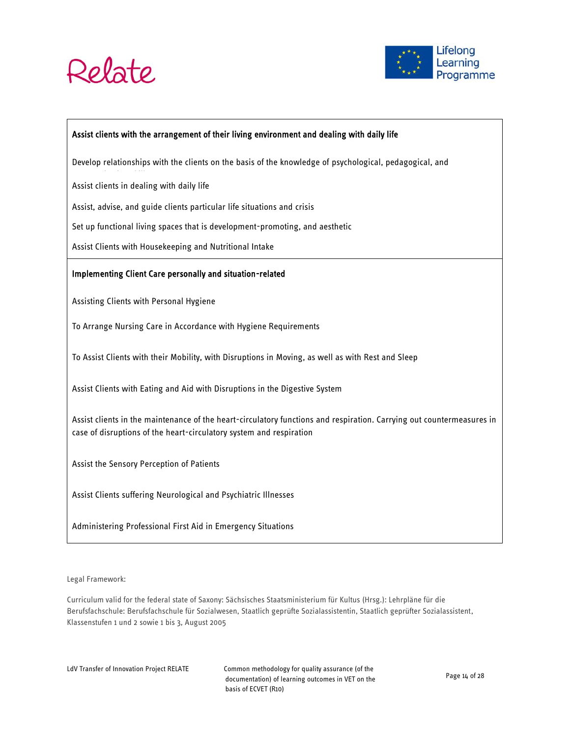



#### Assist clients with the arrangement of their living environment and dealing with daily life

Develop relationships with the clients on the basis of the knowledge of psychological, pedagogical, and

Assist clients in dealing with daily life

Assist, advise, and guide clients particular life situations and crisis

Set up functional living spaces that is development-promoting, and aesthetic

Assist Clients with Housekeeping and Nutritional Intake

#### Implementing Client Care personally and situation-related

Assisting Clients with Personal Hygiene

To Arrange Nursing Care in Accordance with Hygiene Requirements

To Assist Clients with their Mobility, with Disruptions in Moving, as well as with Rest and Sleep

Assist Clients with Eating and Aid with Disruptions in the Digestive System

Assist clients in the maintenance of the heart-circulatory functions and respiration. Carrying out countermeasures in case of disruptions of the heart-circulatory system and respiration

Assist the Sensory Perception of Patients

Assist Clients suffering Neurological and Psychiatric Illnesses

Administering Professional First Aid in Emergency Situations

Legal Framework:

Curriculum valid for the federal state of Saxony: Sächsisches Staatsministerium für Kultus (Hrsg.): Lehrpläne für die Berufsfachschule: Berufsfachschule für Sozialwesen, Staatlich geprüfte Sozialassistentin, Staatlich geprüfter Sozialassistent, Klassenstufen 1 und 2 sowie 1 bis 3, August 2005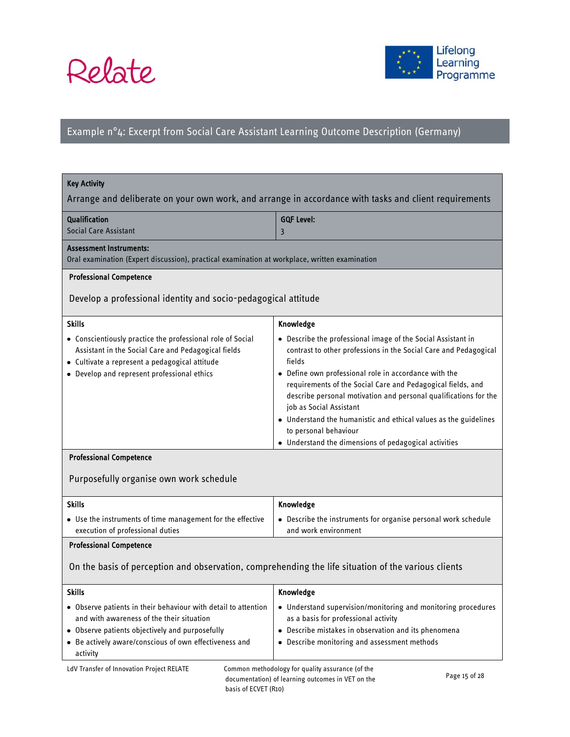



# <span id="page-14-0"></span>Example n°4: Excerpt from Social Care Assistant Learning Outcome Description (Germany)

| <b>Key Activity</b>                                                                                                                                                                                                                  |                                                                                                                                                                                                                                                                                                                                                                                                                                                                                                                         |  |  |  |  |
|--------------------------------------------------------------------------------------------------------------------------------------------------------------------------------------------------------------------------------------|-------------------------------------------------------------------------------------------------------------------------------------------------------------------------------------------------------------------------------------------------------------------------------------------------------------------------------------------------------------------------------------------------------------------------------------------------------------------------------------------------------------------------|--|--|--|--|
| Arrange and deliberate on your own work, and arrange in accordance with tasks and client requirements                                                                                                                                |                                                                                                                                                                                                                                                                                                                                                                                                                                                                                                                         |  |  |  |  |
| <b>Qualification</b><br>Social Care Assistant                                                                                                                                                                                        | <b>GQF Level:</b><br>3                                                                                                                                                                                                                                                                                                                                                                                                                                                                                                  |  |  |  |  |
| <b>Assessment Instruments:</b><br>Oral examination (Expert discussion), practical examination at workplace, written examination                                                                                                      |                                                                                                                                                                                                                                                                                                                                                                                                                                                                                                                         |  |  |  |  |
| <b>Professional Competence</b>                                                                                                                                                                                                       |                                                                                                                                                                                                                                                                                                                                                                                                                                                                                                                         |  |  |  |  |
| Develop a professional identity and socio-pedagogical attitude                                                                                                                                                                       |                                                                                                                                                                                                                                                                                                                                                                                                                                                                                                                         |  |  |  |  |
| <b>Skills</b>                                                                                                                                                                                                                        | Knowledge                                                                                                                                                                                                                                                                                                                                                                                                                                                                                                               |  |  |  |  |
| • Conscientiously practice the professional role of Social<br>Assistant in the Social Care and Pedagogical fields<br>· Cultivate a represent a pedagogical attitude<br>• Develop and represent professional ethics                   | • Describe the professional image of the Social Assistant in<br>contrast to other professions in the Social Care and Pedagogical<br>fields<br>• Define own professional role in accordance with the<br>requirements of the Social Care and Pedagogical fields, and<br>describe personal motivation and personal qualifications for the<br>job as Social Assistant<br>. Understand the humanistic and ethical values as the guidelines<br>to personal behaviour<br>• Understand the dimensions of pedagogical activities |  |  |  |  |
| <b>Professional Competence</b>                                                                                                                                                                                                       |                                                                                                                                                                                                                                                                                                                                                                                                                                                                                                                         |  |  |  |  |
| Purposefully organise own work schedule                                                                                                                                                                                              |                                                                                                                                                                                                                                                                                                                                                                                                                                                                                                                         |  |  |  |  |
| <b>Skills</b>                                                                                                                                                                                                                        | Knowledge                                                                                                                                                                                                                                                                                                                                                                                                                                                                                                               |  |  |  |  |
| • Use the instruments of time management for the effective<br>execution of professional duties                                                                                                                                       | • Describe the instruments for organise personal work schedule<br>and work environment                                                                                                                                                                                                                                                                                                                                                                                                                                  |  |  |  |  |
| <b>Professional Competence</b>                                                                                                                                                                                                       |                                                                                                                                                                                                                                                                                                                                                                                                                                                                                                                         |  |  |  |  |
| On the basis of perception and observation, comprehending the life situation of the various clients                                                                                                                                  |                                                                                                                                                                                                                                                                                                                                                                                                                                                                                                                         |  |  |  |  |
| <b>Skills</b>                                                                                                                                                                                                                        | Knowledge                                                                                                                                                                                                                                                                                                                                                                                                                                                                                                               |  |  |  |  |
| • Observe patients in their behaviour with detail to attention<br>and with awareness of the their situation<br>. Observe patients objectively and purposefully<br>• Be actively aware/conscious of own effectiveness and<br>activity | • Understand supervision/monitoring and monitoring procedures<br>as a basis for professional activity<br>• Describe mistakes in observation and its phenomena<br>• Describe monitoring and assessment methods                                                                                                                                                                                                                                                                                                           |  |  |  |  |
| LdV Transfer of Innovation Project RELATE<br>Common methodology for quality assurance (of the                                                                                                                                        |                                                                                                                                                                                                                                                                                                                                                                                                                                                                                                                         |  |  |  |  |

documentation) of learning outcomes in VET on the basis of ECVET (R10)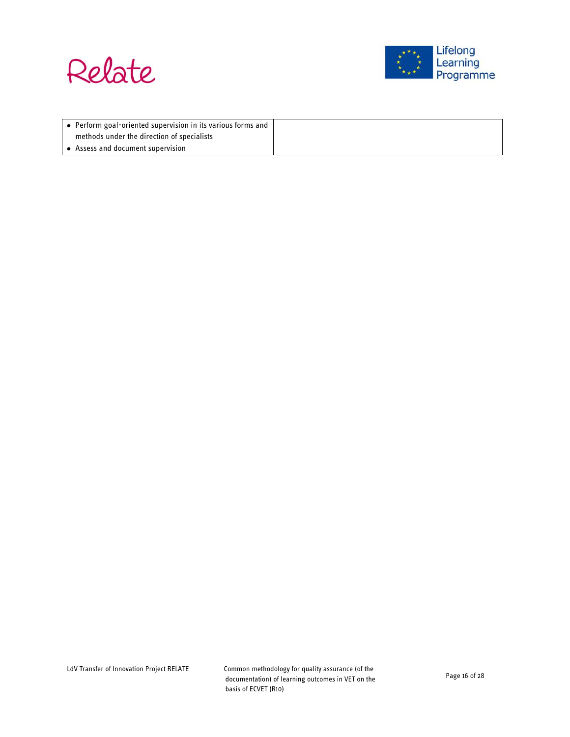



| ↓ ● Perform goal-oriented supervision in its various forms and |
|----------------------------------------------------------------|
| methods under the direction of specialists                     |
| $\bullet$ Assess and document supervision                      |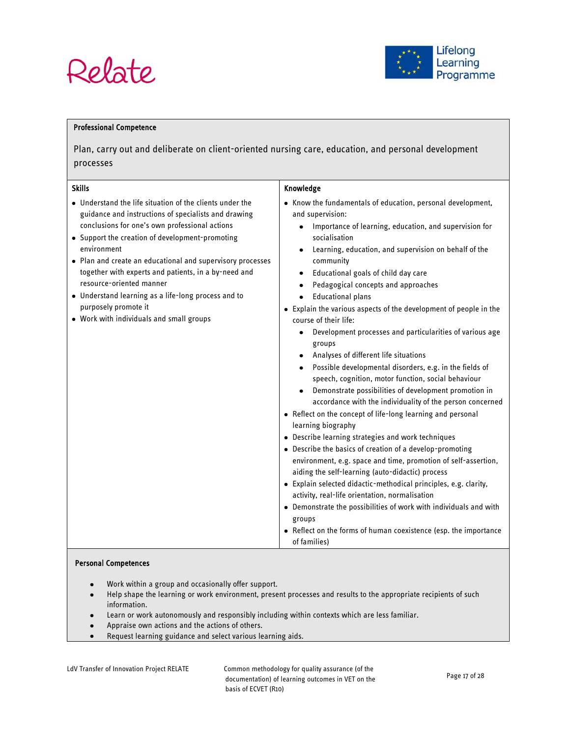# Relate



#### Professional Competence

Plan, carry out and deliberate on client-oriented nursing care, education, and personal development processes

| <b>Skills</b>                                                                                                                                                                                                                                                                                                                                                                                                                                                                                                     | Knowledge                                                                                                                                                                                                                                                                                                                                                                                                                                                                                                                                                                                                                                                                                                                                                                                                                                                                                                                                                                                                                                                                                                                                                                                                                                                                                                                                                                                                                                                         |  |
|-------------------------------------------------------------------------------------------------------------------------------------------------------------------------------------------------------------------------------------------------------------------------------------------------------------------------------------------------------------------------------------------------------------------------------------------------------------------------------------------------------------------|-------------------------------------------------------------------------------------------------------------------------------------------------------------------------------------------------------------------------------------------------------------------------------------------------------------------------------------------------------------------------------------------------------------------------------------------------------------------------------------------------------------------------------------------------------------------------------------------------------------------------------------------------------------------------------------------------------------------------------------------------------------------------------------------------------------------------------------------------------------------------------------------------------------------------------------------------------------------------------------------------------------------------------------------------------------------------------------------------------------------------------------------------------------------------------------------------------------------------------------------------------------------------------------------------------------------------------------------------------------------------------------------------------------------------------------------------------------------|--|
| • Understand the life situation of the clients under the<br>guidance and instructions of specialists and drawing<br>conclusions for one's own professional actions<br>• Support the creation of development-promoting<br>environment<br>• Plan and create an educational and supervisory processes<br>together with experts and patients, in a by-need and<br>resource-oriented manner<br>• Understand learning as a life-long process and to<br>purposely promote it<br>. Work with individuals and small groups | • Know the fundamentals of education, personal development,<br>and supervision:<br>Importance of learning, education, and supervision for<br>$\bullet$<br>socialisation<br>Learning, education, and supervision on behalf of the<br>community<br>Educational goals of child day care<br>Pedagogical concepts and approaches<br><b>Educational plans</b><br>$\bullet$<br>• Explain the various aspects of the development of people in the<br>course of their life:<br>Development processes and particularities of various age<br>٠<br>groups<br>Analyses of different life situations<br>Possible developmental disorders, e.g. in the fields of<br>$\bullet$<br>speech, cognition, motor function, social behaviour<br>Demonstrate possibilities of development promotion in<br>accordance with the individuality of the person concerned<br>• Reflect on the concept of life-long learning and personal<br>learning biography<br>• Describe learning strategies and work techniques<br>• Describe the basics of creation of a develop-promoting<br>environment, e.g. space and time, promotion of self-assertion,<br>aiding the self-learning (auto-didactic) process<br>· Explain selected didactic-methodical principles, e.g. clarity,<br>activity, real-life orientation, normalisation<br>• Demonstrate the possibilities of work with individuals and with<br>groups<br>• Reflect on the forms of human coexistence (esp. the importance<br>of families) |  |

#### Personal Competences

- Work within a group and occasionally offer support.  $\bullet$
- Help shape the learning or work environment, present processes and results to the appropriate recipients of such  $\bullet$ information.
- Learn or work autonomously and responsibly including within contexts which are less familiar.
- Appraise own actions and the actions of others.  $\bullet$
- Request learning guidance and select various learning aids. $\bullet$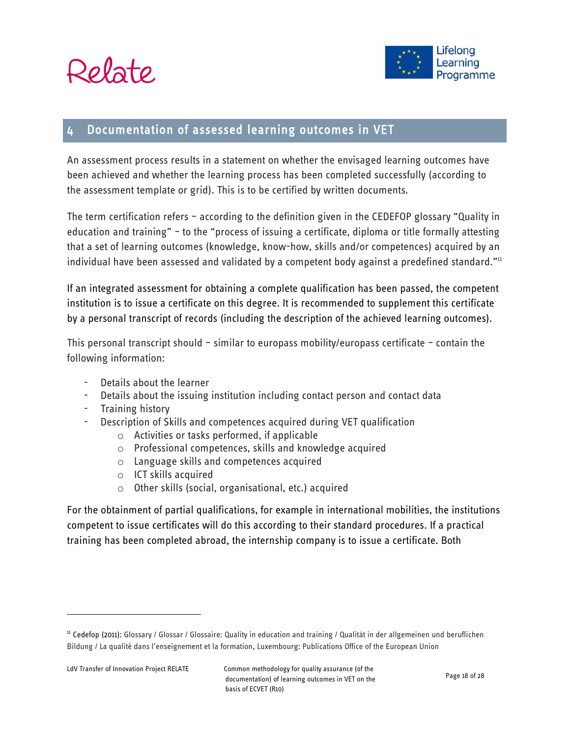



# <span id="page-17-0"></span>4 Documentation of assessed learning outcomes in VET

An assessment process results in a statement on whether the envisaged learning outcomes have been achieved and whether the learning process has been completed successfully (according to the assessment template or grid). This is to be certified by written documents.

The term certification refers – according to the definition given in the CEDEFOP glossary "Quality in education and training" – to the "process of issuing a certificate, diploma or title formally attesting that a set of learning outcomes (knowledge, know-how, skills and/or competences) acquired by an individual have been assessed and validated by a competent body against a predefined standard."<sup>11</sup>

If an integrated assessment for obtaining a complete qualification has been passed, the competent institution is to issue a certificate on this degree. It is recommended to supplement this certificate by a personal transcript of records (including the description of the achieved learning outcomes).

This personal transcript should – similar to europass mobility/europass certificate – contain the following information:

- Details about the learner
- Details about the issuing institution including contact person and contact data
- Training history
- Description of Skills and competences acquired during VET qualification
	- o Activities or tasks performed, if applicable
	- o Professional competences, skills and knowledge acquired
	- o Language skills and competences acquired
	- o ICT skills acquired
	- o Other skills (social, organisational, etc.) acquired

For the obtainment of partial qualifications, for example in international mobilities, the institutions competent to issue certificates will do this according to their standard procedures. If a practical training has been completed abroad, the internship company is to issue a certificate. Both

 $\overline{a}$ 

<sup>&</sup>lt;sup>11</sup> Cedefop (2011): Glossary / Glossar / Glossaire: Quality in education and training / Qualität in der allgemeinen und beruflichen Bildung / La qualité dans l'enseignement et la formation, Luxembourg: Publications Office of the European Union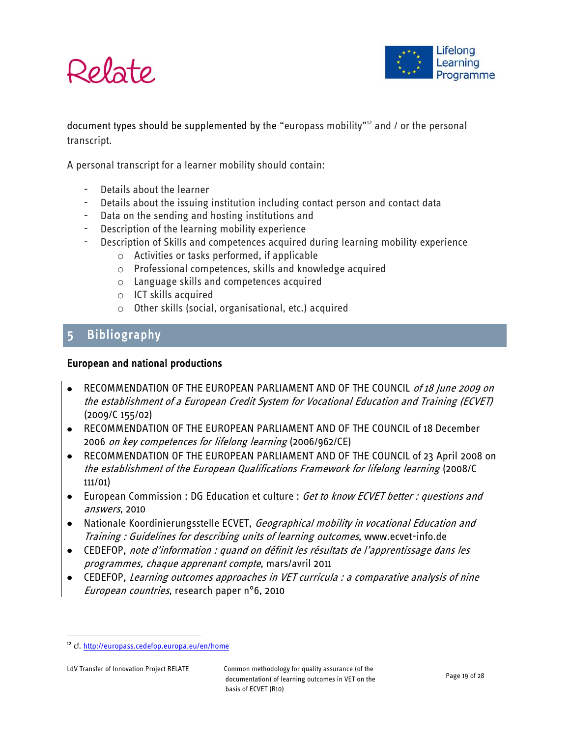



document types should be supplemented by the "europass mobility"<sup>12</sup> and / or the personal transcript.

A personal transcript for a learner mobility should contain:

- Details about the learner
- Details about the issuing institution including contact person and contact data
- Data on the sending and hosting institutions and
- Description of the learning mobility experience
- Description of Skills and competences acquired during learning mobility experience
	- o Activities or tasks performed, if applicable
	- o Professional competences, skills and knowledge acquired
	- o Language skills and competences acquired
	- o ICT skills acquired
	- o Other skills (social, organisational, etc.) acquired

# <span id="page-18-0"></span>5 Bibliography

#### European and national productions

- RECOMMENDATION OF THE EUROPEAN PARLIAMENT AND OF THE COUNCIL of 18 June 2009 on the establishment of a European Credit System for Vocational Education and Training (ECVET) (2009/C 155/02)
- RECOMMENDATION OF THE EUROPEAN PARLIAMENT AND OF THE COUNCIL of 18 December 2006 on key competences for lifelong learning (2006/962/CE)
- RECOMMENDATION OF THE EUROPEAN PARLIAMENT AND OF THE COUNCIL of 23 April 2008 on the establishment of the European Qualifications Framework for lifelong learning (2008/C 111/01)
- European Commission : DG Education et culture : Get to know ECVET better : questions and answers, 2010
- Nationale Koordinierungsstelle ECVET, *Geographical mobility in vocational Education and* Training : Guidelines for describing units of learning outcomes, [www.ecvet-info.de](http://www.ecvet-info.de/)
- CEDEFOP, note d'information : quand on définit les résultats de l'apprentissage dans les programmes, chaque apprenant compte, mars/avril 2011
- CEDEFOP, Learning outcomes approaches in VET curricula : a comparative analysis of nine European countries, research paper n°6, 2010

 $\overline{\phantom{a}}$ 

<sup>&</sup>lt;sup>12</sup> cf[. http://europass.cedefop.europa.eu/en/home](http://europass.cedefop.europa.eu/en/home)

LdV Transfer of Innovation Project RELATE Common methodology for quality assurance (of the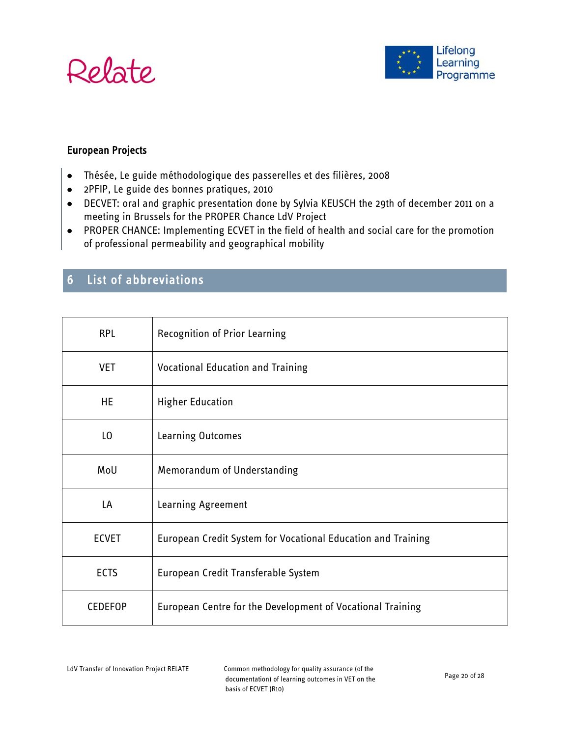



# European Projects

- Thésée, Le guide méthodologique des passerelles et des filières, 2008
- 2PFIP, Le guide des bonnes pratiques, 2010
- DECVET: oral and graphic presentation done by Sylvia KEUSCH the 29th of december 2011 on a meeting in Brussels for the PROPER Chance LdV Project
- PROPER CHANCE: Implementing ECVET in the field of health and social care for the promotion of professional permeability and geographical mobility

# <span id="page-19-0"></span>6 List of abbreviations

| <b>RPL</b>     | <b>Recognition of Prior Learning</b>                         |
|----------------|--------------------------------------------------------------|
| <b>VET</b>     | <b>Vocational Education and Training</b>                     |
| HE             | <b>Higher Education</b>                                      |
| LO             | Learning Outcomes                                            |
| MoU            | Memorandum of Understanding                                  |
| LA             | Learning Agreement                                           |
| <b>ECVET</b>   | European Credit System for Vocational Education and Training |
| <b>ECTS</b>    | European Credit Transferable System                          |
| <b>CEDEFOP</b> | European Centre for the Development of Vocational Training   |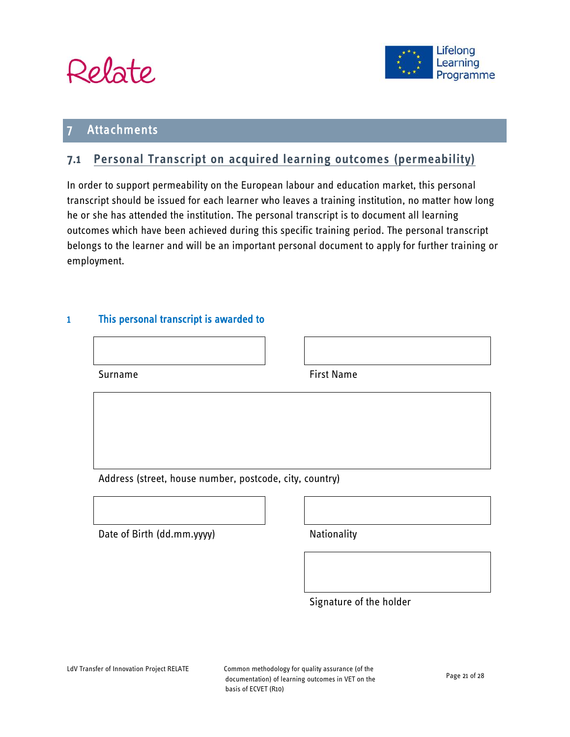



# <span id="page-20-0"></span>**Attachments**

# <span id="page-20-1"></span>**7.1 Personal Transcript on acquired learning outcomes (permeability)**

In order to support permeability on the European labour and education market, this personal transcript should be issued for each learner who leaves a training institution, no matter how long he or she has attended the institution. The personal transcript is to document all learning outcomes which have been achieved during this specific training period. The personal transcript belongs to the learner and will be an important personal document to apply for further training or employment.

### 1 This personal transcript is awarded to

| Surname | <b>First Name</b> |
|---------|-------------------|

Address (street, house number, postcode, city, country)

Date of Birth (dd.mm.yyyy) Nationality

Signature of the holder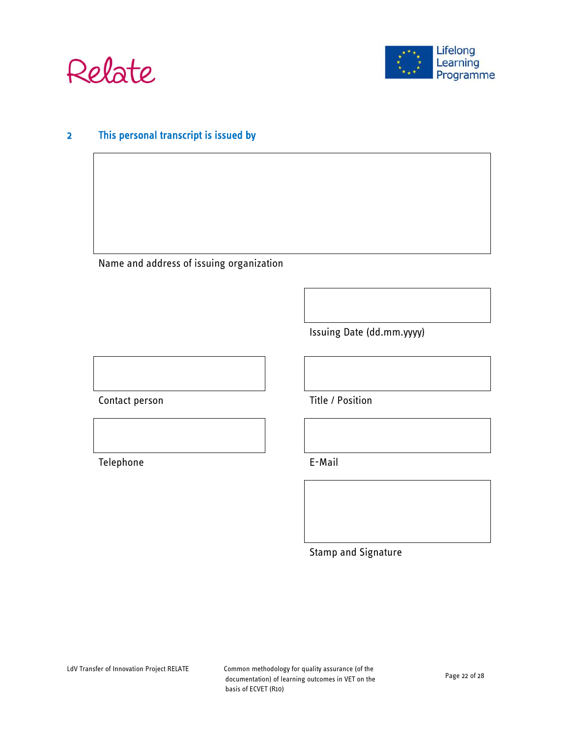



# 2 This personal transcript is issued by

Name and address of issuing organization

Issuing Date (dd.mm.yyyy)

Contact person Title / Position

Telephone **E-Mail** 

Stamp and Signature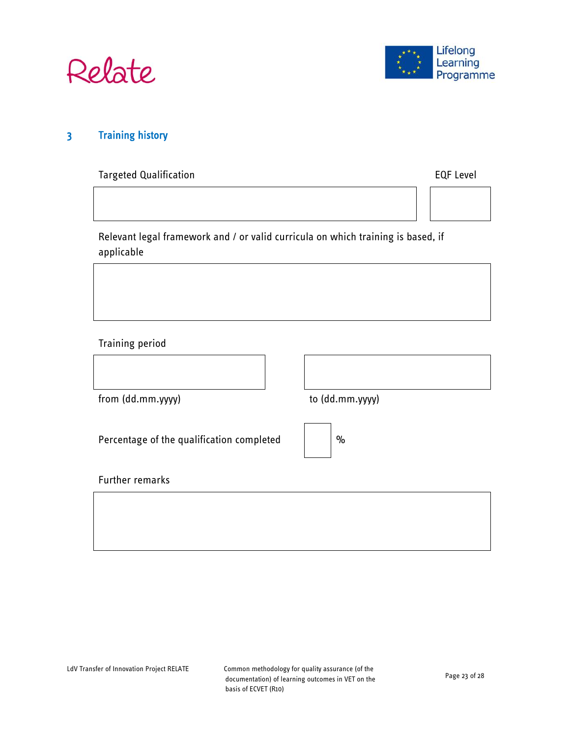



# 3 Training history

Targeted Qualification **EQF** Level



Relevant legal framework and / or valid curricula on which training is based, if applicable

Training period

from (dd.mm.yyyy) to (dd.mm.yyyy)

Percentage of the qualification completed

| $\%$ |
|------|
|      |

Further remarks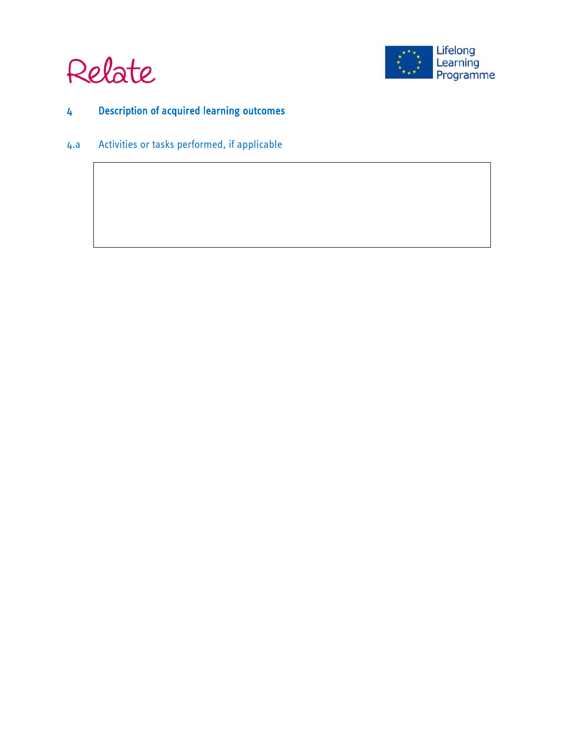



# 4 Description of acquired learning outcomes

4.a Activities or tasks performed, if applicable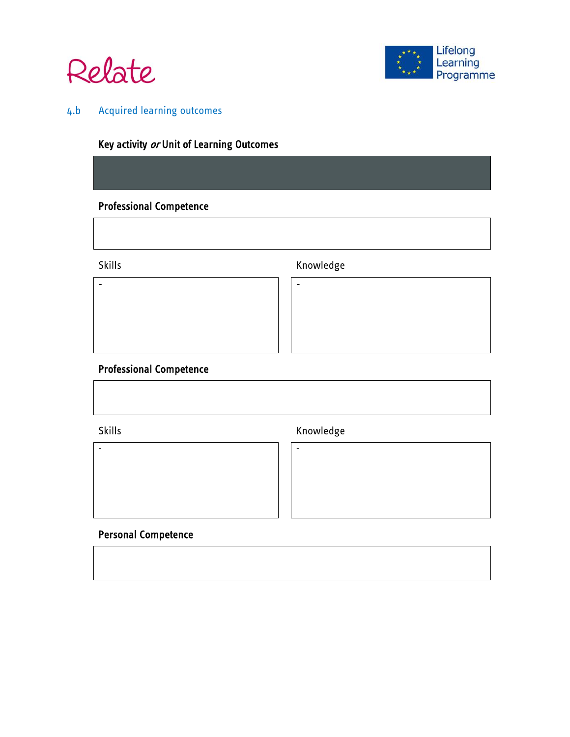



# 4.b Acquired learning outcomes

# Key activity or Unit of Learning Outcomes

- -

# Professional Competence

# Skills **Knowledge**

# Professional Competence

Skills **Knowledge** 





# Personal Competence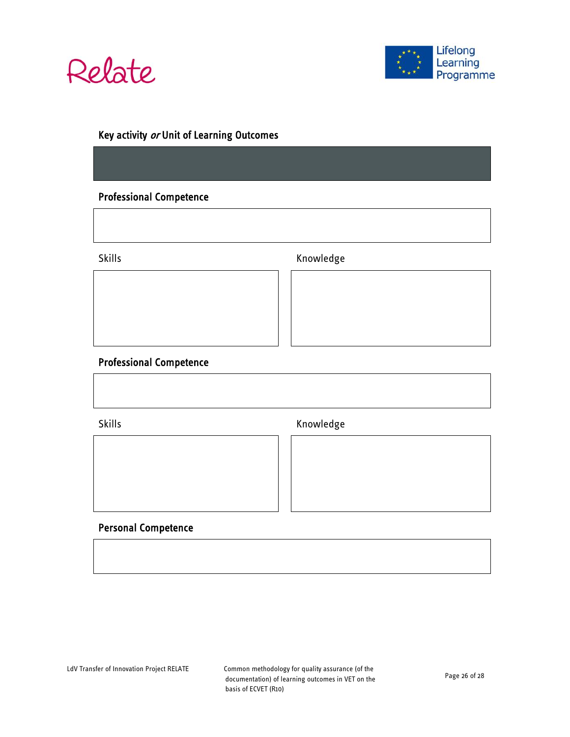



# Key activity or Unit of Learning Outcomes

# Professional Competence

Skills **Knowledge** 

### Professional Competence

Skills **Knowledge** 

# Personal Competence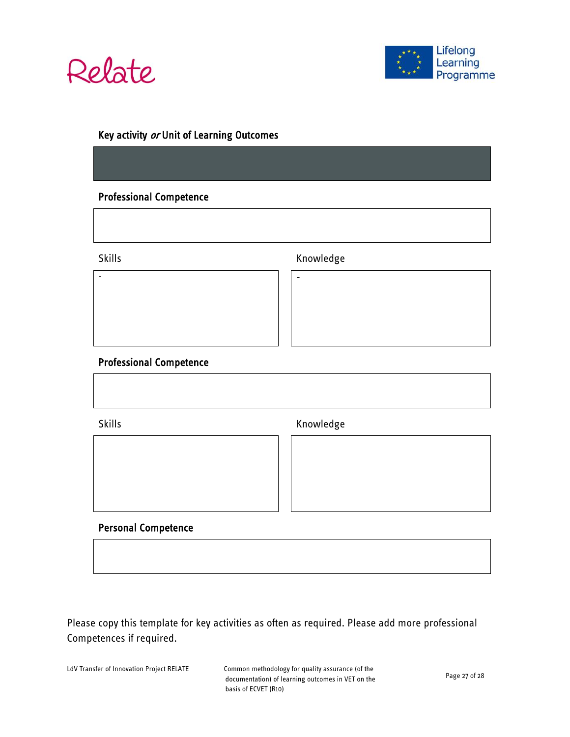



# Key activity or Unit of Learning Outcomes

- -

# Professional Competence

Skills **Knowledge** 

### Professional Competence

Skills **Knowledge** 

Personal Competence

Please copy this template for key activities as often as required. Please add more professional Competences if required.

LdV Transfer of Innovation Project RELATE Common methodology for quality assurance (of the

documentation) of learning outcomes in VET on the basis of ECVET (R10)